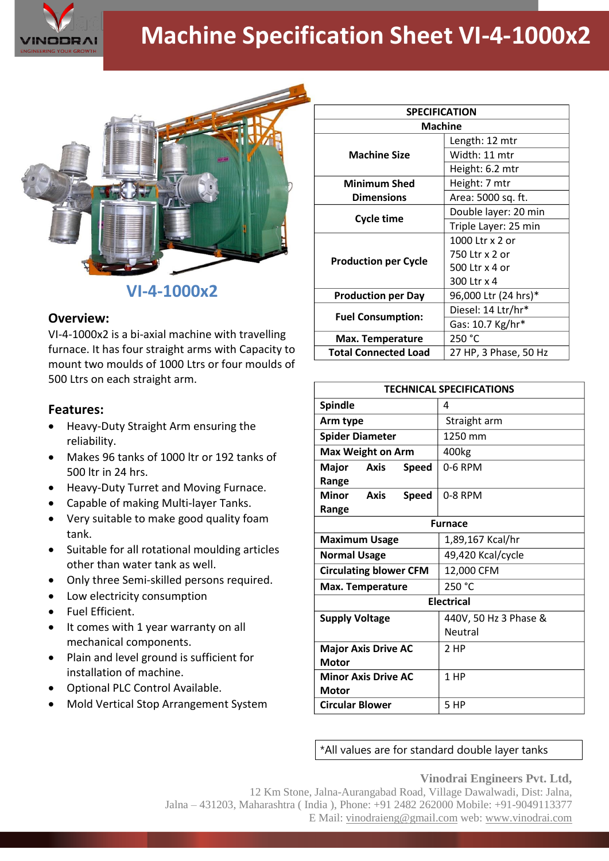

# **Machine Specification Sheet VI-4-1000x2**



## **VI-4-1000x2**

#### **Overview:**

VI-4-1000x2 is a bi-axial machine with travelling furnace. It has four straight arms with Capacity to mount two moulds of 1000 Ltrs or four moulds of 500 Ltrs on each straight arm.

### **Features:**

- Heavy-Duty Straight Arm ensuring the reliability.
- Makes 96 tanks of 1000 ltr or 192 tanks of 500 ltr in 24 hrs.
- Heavy-Duty Turret and Moving Furnace.
- Capable of making Multi-layer Tanks.
- Very suitable to make good quality foam tank.
- Suitable for all rotational moulding articles other than water tank as well.
- Only three Semi-skilled persons required.
- Low electricity consumption
- Fuel Efficient.
- It comes with 1 year warranty on all mechanical components.
- Plain and level ground is sufficient for installation of machine.
- Optional PLC Control Available.
- Mold Vertical Stop Arrangement System

| <b>SPECIFICATION</b>        |                       |
|-----------------------------|-----------------------|
| Machine                     |                       |
| <b>Machine Size</b>         | Length: 12 mtr        |
|                             | Width: 11 mtr         |
|                             | Height: 6.2 mtr       |
| <b>Minimum Shed</b>         | Height: 7 mtr         |
| <b>Dimensions</b>           | Area: 5000 sq. ft.    |
| <b>Cycle time</b>           | Double layer: 20 min  |
|                             | Triple Layer: 25 min  |
| <b>Production per Cycle</b> | 1000 Ltr x 2 or       |
|                             | 750 Ltr x 2 or        |
|                             | 500 Ltr x 4 or        |
|                             | 300 Ltr x 4           |
| <b>Production per Day</b>   | 96,000 Ltr (24 hrs)*  |
| <b>Fuel Consumption:</b>    | Diesel: 14 Ltr/hr*    |
|                             | Gas: 10.7 Kg/hr*      |
| Max. Temperature            | 250 °C                |
| <b>Total Connected Load</b> | 27 HP, 3 Phase, 50 Hz |

| <b>TECHNICAL SPECIFICATIONS</b>                      |                                  |
|------------------------------------------------------|----------------------------------|
| <b>Spindle</b>                                       | 4                                |
| Arm type                                             | Straight arm                     |
| <b>Spider Diameter</b>                               | 1250 mm                          |
| <b>Max Weight on Arm</b>                             | 400kg                            |
| <b>Major</b><br>Axis<br><b>Speed</b><br>Range        | 0-6 RPM                          |
| <b>Minor</b><br><b>Axis</b><br><b>Speed</b><br>Range | 0-8 RPM                          |
| <b>Furnace</b>                                       |                                  |
| <b>Maximum Usage</b>                                 | 1,89,167 Kcal/hr                 |
| <b>Normal Usage</b>                                  | 49,420 Kcal/cycle                |
| <b>Circulating blower CFM</b>                        | 12,000 CFM                       |
| <b>Max. Temperature</b>                              | 250 °C                           |
| <b>Electrical</b>                                    |                                  |
| <b>Supply Voltage</b>                                | 440V, 50 Hz 3 Phase &<br>Neutral |
| <b>Major Axis Drive AC</b>                           | 2 HP                             |
| <b>Motor</b>                                         |                                  |
| <b>Minor Axis Drive AC</b><br><b>Motor</b>           | 1 HP                             |
| <b>Circular Blower</b>                               | 5 HP                             |

\*All values are for standard double layer tanks

#### **Vinodrai Engineers Pvt. Ltd,**

12 Km Stone, Jalna-Aurangabad Road, Village Dawalwadi, Dist: Jalna, Jalna – 431203, Maharashtra ( India ), Phone: +91 2482 262000 Mobile: +91-9049113377 E Mail: vinodraieng@gmail.com web: www.vinodrai.com